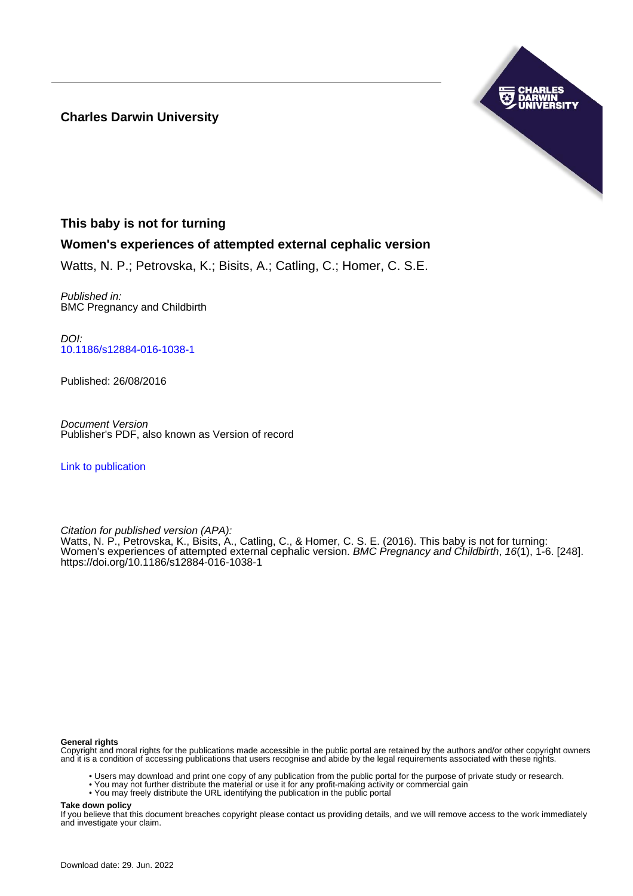**Charles Darwin University**



# **This baby is not for turning**

# **Women's experiences of attempted external cephalic version**

Watts, N. P.; Petrovska, K.; Bisits, A.; Catling, C.; Homer, C. S.E.

Published in: BMC Pregnancy and Childbirth

DOI: [10.1186/s12884-016-1038-1](https://doi.org/10.1186/s12884-016-1038-1)

Published: 26/08/2016

Document Version Publisher's PDF, also known as Version of record

[Link to publication](https://researchers.cdu.edu.au/en/publications/5566d253-8e16-49d4-8008-691615e56d47)

Citation for published version (APA): Watts, N. P., Petrovska, K., Bisits, A., Catling, C., & Homer, C. S. E. (2016). This baby is not for turning: Women's experiences of attempted external cephalic version. BMC Pregnancy and Childbirth, 16(1), 1-6. [248]. <https://doi.org/10.1186/s12884-016-1038-1>

## **General rights**

Copyright and moral rights for the publications made accessible in the public portal are retained by the authors and/or other copyright owners and it is a condition of accessing publications that users recognise and abide by the legal requirements associated with these rights.

- Users may download and print one copy of any publication from the public portal for the purpose of private study or research.
- You may not further distribute the material or use it for any profit-making activity or commercial gain
- You may freely distribute the URL identifying the publication in the public portal

**Take down policy**

If you believe that this document breaches copyright please contact us providing details, and we will remove access to the work immediately and investigate your claim.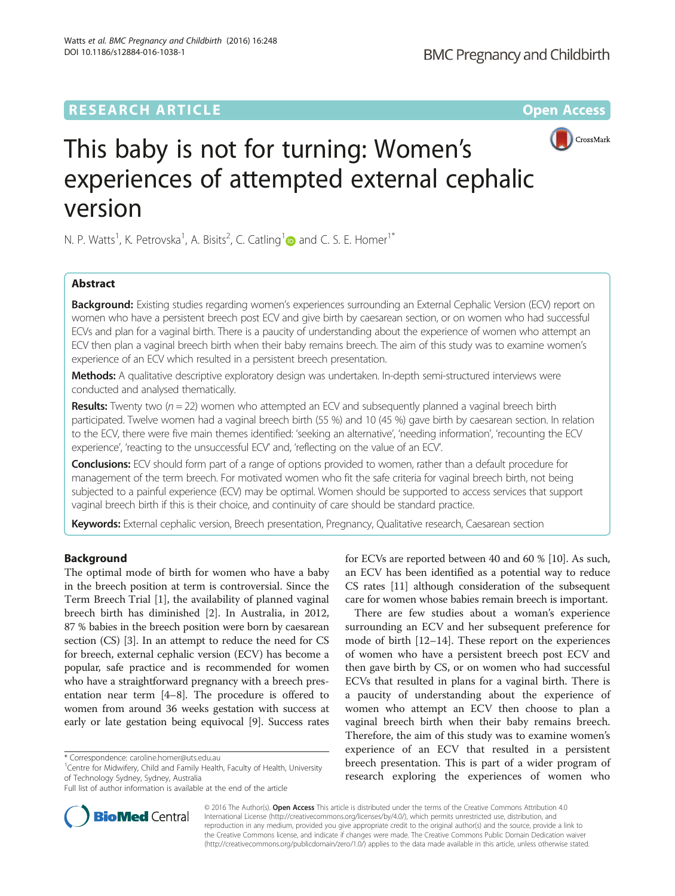# **RESEARCH ARTICLE External Structure Community Community Community Community Community Community Community Community**



# This baby is not for turning: Women's experiences of attempted external cephalic version

N. P. Watts<sup>[1](http://orcid.org/0000-0001-7352-2879)</sup>, K. Petrovska<sup>1</sup>, A. Bisits<sup>2</sup>, C. Catling<sup>1</sup> and C. S. E. Homer<sup>1\*</sup>

# Abstract

Background: Existing studies regarding women's experiences surrounding an External Cephalic Version (ECV) report on women who have a persistent breech post ECV and give birth by caesarean section, or on women who had successful ECVs and plan for a vaginal birth. There is a paucity of understanding about the experience of women who attempt an ECV then plan a vaginal breech birth when their baby remains breech. The aim of this study was to examine women's experience of an ECV which resulted in a persistent breech presentation.

Methods: A qualitative descriptive exploratory design was undertaken. In-depth semi-structured interviews were conducted and analysed thematically.

**Results:** Twenty two ( $n = 22$ ) women who attempted an ECV and subsequently planned a vaginal breech birth participated. Twelve women had a vaginal breech birth (55 %) and 10 (45 %) gave birth by caesarean section. In relation to the ECV, there were five main themes identified: 'seeking an alternative', 'needing information', 'recounting the ECV experience', 'reacting to the unsuccessful ECV' and, 'reflecting on the value of an ECV'.

Conclusions: ECV should form part of a range of options provided to women, rather than a default procedure for management of the term breech. For motivated women who fit the safe criteria for vaginal breech birth, not being subjected to a painful experience (ECV) may be optimal. Women should be supported to access services that support vaginal breech birth if this is their choice, and continuity of care should be standard practice.

Keywords: External cephalic version, Breech presentation, Pregnancy, Qualitative research, Caesarean section

# Background

The optimal mode of birth for women who have a baby in the breech position at term is controversial. Since the Term Breech Trial [\[1](#page-5-0)], the availability of planned vaginal breech birth has diminished [\[2](#page-5-0)]. In Australia, in 2012, 87 % babies in the breech position were born by caesarean section (CS) [\[3](#page-5-0)]. In an attempt to reduce the need for CS for breech, external cephalic version (ECV) has become a popular, safe practice and is recommended for women who have a straightforward pregnancy with a breech presentation near term [\[4](#page-5-0)–[8](#page-5-0)]. The procedure is offered to women from around 36 weeks gestation with success at early or late gestation being equivocal [[9](#page-5-0)]. Success rates

<sup>1</sup> Centre for Midwifery, Child and Family Health, Faculty of Health, University of Technology Sydney, Sydney, Australia

for ECVs are reported between 40 and 60 % [[10\]](#page-5-0). As such, an ECV has been identified as a potential way to reduce CS rates [[11](#page-5-0)] although consideration of the subsequent care for women whose babies remain breech is important.

There are few studies about a woman's experience surrounding an ECV and her subsequent preference for mode of birth [[12](#page-5-0)–[14](#page-6-0)]. These report on the experiences of women who have a persistent breech post ECV and then gave birth by CS, or on women who had successful ECVs that resulted in plans for a vaginal birth. There is a paucity of understanding about the experience of women who attempt an ECV then choose to plan a vaginal breech birth when their baby remains breech. Therefore, the aim of this study was to examine women's experience of an ECV that resulted in a persistent breech presentation. This is part of a wider program of research exploring the experiences of women who



© 2016 The Author(s). Open Access This article is distributed under the terms of the Creative Commons Attribution 4.0 International License [\(http://creativecommons.org/licenses/by/4.0/](http://creativecommons.org/licenses/by/4.0/)), which permits unrestricted use, distribution, and reproduction in any medium, provided you give appropriate credit to the original author(s) and the source, provide a link to the Creative Commons license, and indicate if changes were made. The Creative Commons Public Domain Dedication waiver [\(http://creativecommons.org/publicdomain/zero/1.0/](http://creativecommons.org/publicdomain/zero/1.0/)) applies to the data made available in this article, unless otherwise stated.

<sup>\*</sup> Correspondence: [caroline.homer@uts.edu.au](mailto:caroline.homer@uts.edu.au) <sup>1</sup>

Full list of author information is available at the end of the article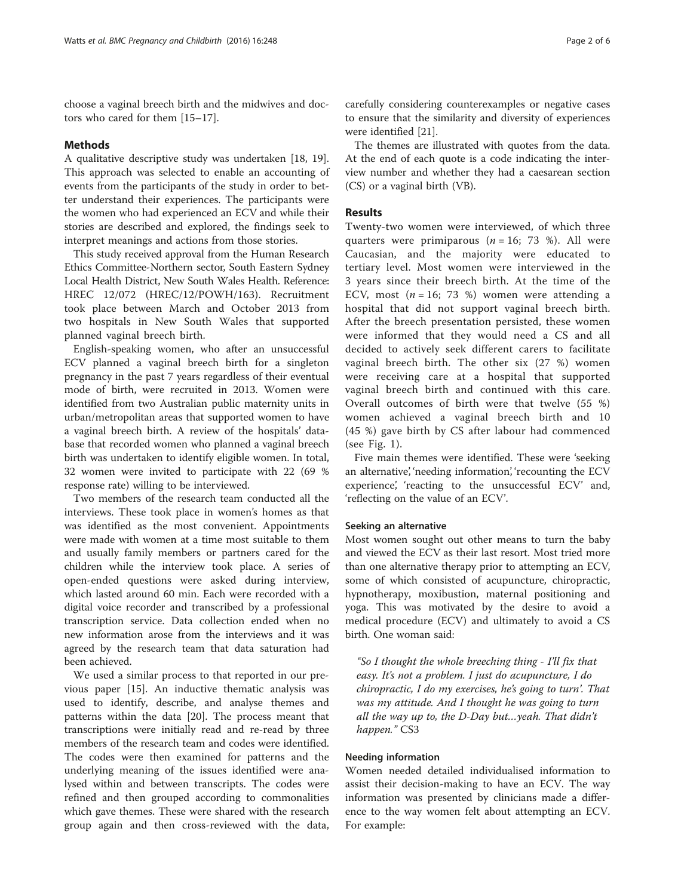choose a vaginal breech birth and the midwives and doctors who cared for them [\[15](#page-6-0)–[17\]](#page-6-0).

#### Methods

A qualitative descriptive study was undertaken [[18](#page-6-0), [19](#page-6-0)]. This approach was selected to enable an accounting of events from the participants of the study in order to better understand their experiences. The participants were the women who had experienced an ECV and while their stories are described and explored, the findings seek to interpret meanings and actions from those stories.

This study received approval from the Human Research Ethics Committee-Northern sector, South Eastern Sydney Local Health District, New South Wales Health. Reference: HREC 12/072 (HREC/12/POWH/163). Recruitment took place between March and October 2013 from two hospitals in New South Wales that supported planned vaginal breech birth.

English-speaking women, who after an unsuccessful ECV planned a vaginal breech birth for a singleton pregnancy in the past 7 years regardless of their eventual mode of birth, were recruited in 2013. Women were identified from two Australian public maternity units in urban/metropolitan areas that supported women to have a vaginal breech birth. A review of the hospitals' database that recorded women who planned a vaginal breech birth was undertaken to identify eligible women. In total, 32 women were invited to participate with 22 (69 % response rate) willing to be interviewed.

Two members of the research team conducted all the interviews. These took place in women's homes as that was identified as the most convenient. Appointments were made with women at a time most suitable to them and usually family members or partners cared for the children while the interview took place. A series of open-ended questions were asked during interview, which lasted around 60 min. Each were recorded with a digital voice recorder and transcribed by a professional transcription service. Data collection ended when no new information arose from the interviews and it was agreed by the research team that data saturation had been achieved.

We used a similar process to that reported in our previous paper [\[15](#page-6-0)]. An inductive thematic analysis was used to identify, describe, and analyse themes and patterns within the data [\[20\]](#page-6-0). The process meant that transcriptions were initially read and re-read by three members of the research team and codes were identified. The codes were then examined for patterns and the underlying meaning of the issues identified were analysed within and between transcripts. The codes were refined and then grouped according to commonalities which gave themes. These were shared with the research group again and then cross-reviewed with the data,

carefully considering counterexamples or negative cases to ensure that the similarity and diversity of experiences were identified [\[21](#page-6-0)].

The themes are illustrated with quotes from the data. At the end of each quote is a code indicating the interview number and whether they had a caesarean section (CS) or a vaginal birth (VB).

#### Results

Twenty-two women were interviewed, of which three quarters were primiparous  $(n = 16; 73 \%)$ . All were Caucasian, and the majority were educated to tertiary level. Most women were interviewed in the 3 years since their breech birth. At the time of the ECV, most  $(n = 16; 73%)$  women were attending a hospital that did not support vaginal breech birth. After the breech presentation persisted, these women were informed that they would need a CS and all decided to actively seek different carers to facilitate vaginal breech birth. The other six (27 %) women were receiving care at a hospital that supported vaginal breech birth and continued with this care. Overall outcomes of birth were that twelve (55 %) women achieved a vaginal breech birth and 10 (45 %) gave birth by CS after labour had commenced (see Fig. [1](#page-3-0)).

Five main themes were identified. These were 'seeking an alternative', 'needing information', 'recounting the ECV experience', 'reacting to the unsuccessful ECV' and, 'reflecting on the value of an ECV'.

#### Seeking an alternative

Most women sought out other means to turn the baby and viewed the ECV as their last resort. Most tried more than one alternative therapy prior to attempting an ECV, some of which consisted of acupuncture, chiropractic, hypnotherapy, moxibustion, maternal positioning and yoga. This was motivated by the desire to avoid a medical procedure (ECV) and ultimately to avoid a CS birth. One woman said:

"So I thought the whole breeching thing - I'll fix that easy. It's not a problem. I just do acupuncture, I do chiropractic, I do my exercises, he's going to turn'. That was my attitude. And I thought he was going to turn all the way up to, the D-Day but…yeah. That didn't happen." CS3

# Needing information

Women needed detailed individualised information to assist their decision-making to have an ECV. The way information was presented by clinicians made a difference to the way women felt about attempting an ECV. For example: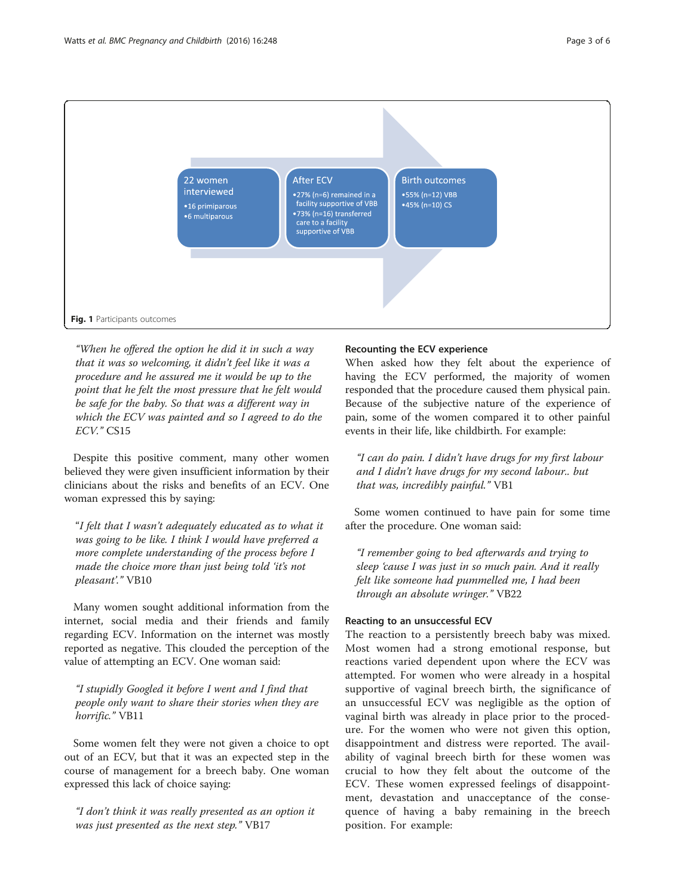<span id="page-3-0"></span>

"When he offered the option he did it in such a way that it was so welcoming, it didn't feel like it was a procedure and he assured me it would be up to the point that he felt the most pressure that he felt would be safe for the baby. So that was a different way in which the ECV was painted and so I agreed to do the ECV." CS15

Despite this positive comment, many other women believed they were given insufficient information by their clinicians about the risks and benefits of an ECV. One woman expressed this by saying:

"I felt that I wasn't adequately educated as to what it was going to be like. I think I would have preferred a more complete understanding of the process before I made the choice more than just being told 'it's not pleasant'." VB10

Many women sought additional information from the internet, social media and their friends and family regarding ECV. Information on the internet was mostly reported as negative. This clouded the perception of the value of attempting an ECV. One woman said:

"I stupidly Googled it before I went and I find that people only want to share their stories when they are horrific." VB11

Some women felt they were not given a choice to opt out of an ECV, but that it was an expected step in the course of management for a breech baby. One woman expressed this lack of choice saying:

"I don't think it was really presented as an option it was just presented as the next step." VB17

## Recounting the ECV experience

When asked how they felt about the experience of having the ECV performed, the majority of women responded that the procedure caused them physical pain. Because of the subjective nature of the experience of pain, some of the women compared it to other painful events in their life, like childbirth. For example:

"I can do pain. I didn't have drugs for my first labour and I didn't have drugs for my second labour.. but that was, incredibly painful." VB1

Some women continued to have pain for some time after the procedure. One woman said:

"I remember going to bed afterwards and trying to sleep 'cause I was just in so much pain. And it really felt like someone had pummelled me, I had been through an absolute wringer." VB22

## Reacting to an unsuccessful ECV

The reaction to a persistently breech baby was mixed. Most women had a strong emotional response, but reactions varied dependent upon where the ECV was attempted. For women who were already in a hospital supportive of vaginal breech birth, the significance of an unsuccessful ECV was negligible as the option of vaginal birth was already in place prior to the procedure. For the women who were not given this option, disappointment and distress were reported. The availability of vaginal breech birth for these women was crucial to how they felt about the outcome of the ECV. These women expressed feelings of disappointment, devastation and unacceptance of the consequence of having a baby remaining in the breech position. For example: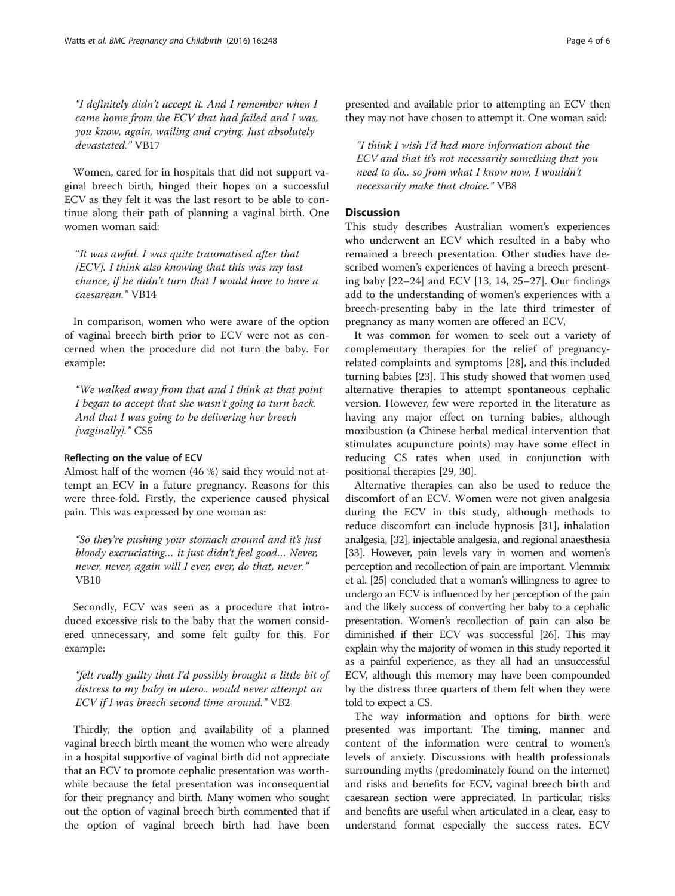"I definitely didn't accept it. And I remember when I came home from the ECV that had failed and I was, you know, again, wailing and crying. Just absolutely devastated." VB17

Women, cared for in hospitals that did not support vaginal breech birth, hinged their hopes on a successful ECV as they felt it was the last resort to be able to continue along their path of planning a vaginal birth. One women woman said:

"It was awful. I was quite traumatised after that [ECV]. I think also knowing that this was my last chance, if he didn't turn that I would have to have a caesarean." VB14

In comparison, women who were aware of the option of vaginal breech birth prior to ECV were not as concerned when the procedure did not turn the baby. For example:

"We walked away from that and I think at that point I began to accept that she wasn't going to turn back. And that I was going to be delivering her breech [vaginally]." CS5

# Reflecting on the value of ECV

Almost half of the women (46 %) said they would not attempt an ECV in a future pregnancy. Reasons for this were three-fold. Firstly, the experience caused physical pain. This was expressed by one woman as:

"So they're pushing your stomach around and it's just bloody excruciating… it just didn't feel good… Never, never, never, again will I ever, ever, do that, never." VB10

Secondly, ECV was seen as a procedure that introduced excessive risk to the baby that the women considered unnecessary, and some felt guilty for this. For example:

"felt really guilty that I'd possibly brought a little bit of distress to my baby in utero.. would never attempt an ECV if I was breech second time around." VB2

Thirdly, the option and availability of a planned vaginal breech birth meant the women who were already in a hospital supportive of vaginal birth did not appreciate that an ECV to promote cephalic presentation was worthwhile because the fetal presentation was inconsequential for their pregnancy and birth. Many women who sought out the option of vaginal breech birth commented that if the option of vaginal breech birth had have been presented and available prior to attempting an ECV then they may not have chosen to attempt it. One woman said:

"I think I wish I'd had more information about the ECV and that it's not necessarily something that you need to do.. so from what I know now, I wouldn't necessarily make that choice." VB8

# **Discussion**

This study describes Australian women's experiences who underwent an ECV which resulted in a baby who remained a breech presentation. Other studies have described women's experiences of having a breech presenting baby [[22](#page-6-0)–[24\]](#page-6-0) and ECV [[13, 14, 25](#page-6-0)–[27\]](#page-6-0). Our findings add to the understanding of women's experiences with a breech-presenting baby in the late third trimester of pregnancy as many women are offered an ECV,

It was common for women to seek out a variety of complementary therapies for the relief of pregnancyrelated complaints and symptoms [\[28](#page-6-0)], and this included turning babies [[23](#page-6-0)]. This study showed that women used alternative therapies to attempt spontaneous cephalic version. However, few were reported in the literature as having any major effect on turning babies, although moxibustion (a Chinese herbal medical intervention that stimulates acupuncture points) may have some effect in reducing CS rates when used in conjunction with positional therapies [[29](#page-6-0), [30](#page-6-0)].

Alternative therapies can also be used to reduce the discomfort of an ECV. Women were not given analgesia during the ECV in this study, although methods to reduce discomfort can include hypnosis [[31](#page-6-0)], inhalation analgesia, [\[32\]](#page-6-0), injectable analgesia, and regional anaesthesia [[33](#page-6-0)]. However, pain levels vary in women and women's perception and recollection of pain are important. Vlemmix et al. [\[25\]](#page-6-0) concluded that a woman's willingness to agree to undergo an ECV is influenced by her perception of the pain and the likely success of converting her baby to a cephalic presentation. Women's recollection of pain can also be diminished if their ECV was successful [\[26\]](#page-6-0). This may explain why the majority of women in this study reported it as a painful experience, as they all had an unsuccessful ECV, although this memory may have been compounded by the distress three quarters of them felt when they were told to expect a CS.

The way information and options for birth were presented was important. The timing, manner and content of the information were central to women's levels of anxiety. Discussions with health professionals surrounding myths (predominately found on the internet) and risks and benefits for ECV, vaginal breech birth and caesarean section were appreciated. In particular, risks and benefits are useful when articulated in a clear, easy to understand format especially the success rates. ECV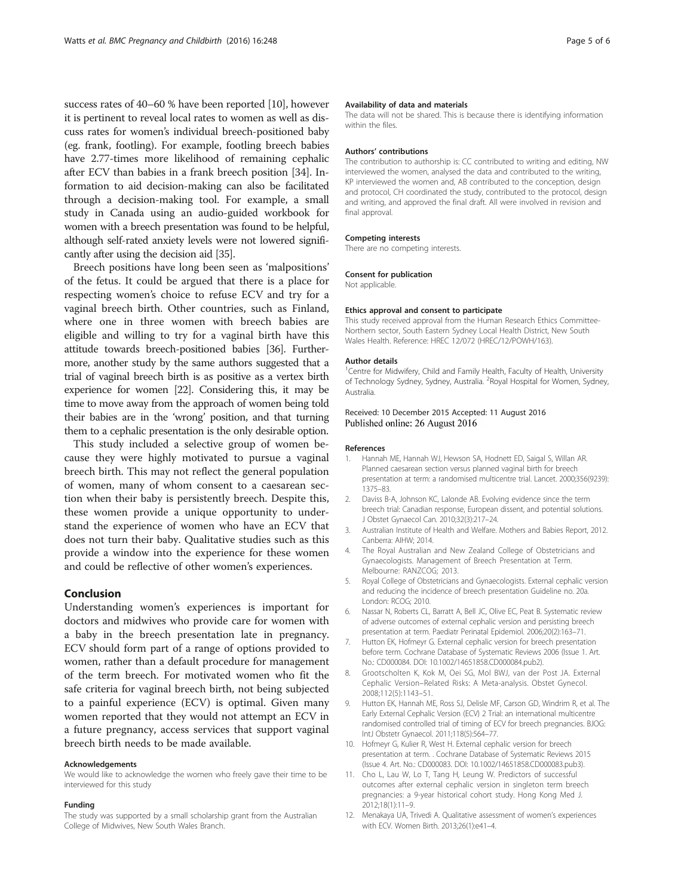<span id="page-5-0"></span>success rates of 40–60 % have been reported [10], however it is pertinent to reveal local rates to women as well as discuss rates for women's individual breech-positioned baby (eg. frank, footling). For example, footling breech babies have 2.77-times more likelihood of remaining cephalic after ECV than babies in a frank breech position [\[34](#page-6-0)]. Information to aid decision-making can also be facilitated through a decision-making tool. For example, a small study in Canada using an audio-guided workbook for women with a breech presentation was found to be helpful, although self-rated anxiety levels were not lowered significantly after using the decision aid [\[35\]](#page-6-0).

Breech positions have long been seen as 'malpositions' of the fetus. It could be argued that there is a place for respecting women's choice to refuse ECV and try for a vaginal breech birth. Other countries, such as Finland, where one in three women with breech babies are eligible and willing to try for a vaginal birth have this attitude towards breech-positioned babies [[36](#page-6-0)]. Furthermore, another study by the same authors suggested that a trial of vaginal breech birth is as positive as a vertex birth experience for women [[22\]](#page-6-0). Considering this, it may be time to move away from the approach of women being told their babies are in the 'wrong' position, and that turning them to a cephalic presentation is the only desirable option.

This study included a selective group of women because they were highly motivated to pursue a vaginal breech birth. This may not reflect the general population of women, many of whom consent to a caesarean section when their baby is persistently breech. Despite this, these women provide a unique opportunity to understand the experience of women who have an ECV that does not turn their baby. Qualitative studies such as this provide a window into the experience for these women and could be reflective of other women's experiences.

## Conclusion

Understanding women's experiences is important for doctors and midwives who provide care for women with a baby in the breech presentation late in pregnancy. ECV should form part of a range of options provided to women, rather than a default procedure for management of the term breech. For motivated women who fit the safe criteria for vaginal breech birth, not being subjected to a painful experience (ECV) is optimal. Given many women reported that they would not attempt an ECV in a future pregnancy, access services that support vaginal breech birth needs to be made available.

#### Acknowledgements

We would like to acknowledge the women who freely gave their time to be interviewed for this study

#### Funding

The study was supported by a small scholarship grant from the Australian College of Midwives, New South Wales Branch.

#### Availability of data and materials

The data will not be shared. This is because there is identifying information within the files.

#### Authors' contributions

The contribution to authorship is: CC contributed to writing and editing, NW interviewed the women, analysed the data and contributed to the writing, KP interviewed the women and, AB contributed to the conception, design and protocol, CH coordinated the study, contributed to the protocol, design and writing, and approved the final draft. All were involved in revision and final approval.

#### Competing interests

There are no competing interests.

#### Consent for publication

Not applicable.

#### Ethics approval and consent to participate

This study received approval from the Human Research Ethics Committee-Northern sector, South Eastern Sydney Local Health District, New South Wales Health. Reference: HREC 12/072 (HREC/12/POWH/163).

#### Author details

<sup>1</sup> Centre for Midwifery, Child and Family Health, Faculty of Health, University of Technology Sydney, Sydney, Australia. <sup>2</sup> Royal Hospital for Women, Sydney Australia.

#### Received: 10 December 2015 Accepted: 11 August 2016 Published online: 26 August 2016

#### References

- 1. Hannah ME, Hannah WJ, Hewson SA, Hodnett ED, Saigal S, Willan AR. Planned caesarean section versus planned vaginal birth for breech presentation at term: a randomised multicentre trial. Lancet. 2000;356(9239): 1375–83.
- 2. Daviss B-A, Johnson KC, Lalonde AB. Evolving evidence since the term breech trial: Canadian response, European dissent, and potential solutions. J Obstet Gynaecol Can. 2010;32(3):217–24.
- 3. Australian Institute of Health and Welfare. Mothers and Babies Report, 2012. Canberra: AIHW; 2014.
- 4. The Royal Australian and New Zealand College of Obstetricians and Gynaecologists. Management of Breech Presentation at Term. Melbourne: RANZCOG; 2013.
- 5. Royal College of Obstetricians and Gynaecologists. External cephalic version and reducing the incidence of breech presentation Guideline no. 20a. London: RCOG; 2010.
- 6. Nassar N, Roberts CL, Barratt A, Bell JC, Olive EC, Peat B. Systematic review of adverse outcomes of external cephalic version and persisting breech presentation at term. Paediatr Perinatal Epidemiol. 2006;20(2):163–71.
- 7. Hutton EK, Hofmeyr G. External cephalic version for breech presentation before term. Cochrane Database of Systematic Reviews 2006 (Issue 1. Art. No.: CD000084. DOI: [10.1002/14651858.CD000084.pub2\)](http://dx.doi.org/10.1002/14651858.CD000084.pub2).
- 8. Grootscholten K, Kok M, Oei SG, Mol BWJ, van der Post JA. External Cephalic Version–Related Risks: A Meta-analysis. Obstet Gynecol. 2008;112(5):1143–51.
- 9. Hutton EK, Hannah ME, Ross SJ, Delisle MF, Carson GD, Windrim R, et al. The Early External Cephalic Version (ECV) 2 Trial: an international multicentre randomised controlled trial of timing of ECV for breech pregnancies. BJOG: IntJ Obstetr Gynaecol. 2011;118(5):564–77.
- 10. Hofmeyr G, Kulier R, West H. External cephalic version for breech presentation at term. . Cochrane Database of Systematic Reviews 2015 (Issue 4. Art. No.: CD000083. DOI: [10.1002/14651858.CD000083.pub3](http://dx.doi.org/10.1002/14651858.CD000083.pub3)).
- 11. Cho L, Lau W, Lo T, Tang H, Leung W. Predictors of successful outcomes after external cephalic version in singleton term breech pregnancies: a 9-year historical cohort study. Hong Kong Med J. 2012;18(1):11–9.
- 12. Menakaya UA, Trivedi A. Qualitative assessment of women's experiences with ECV. Women Birth. 2013;26(1):e41–4.